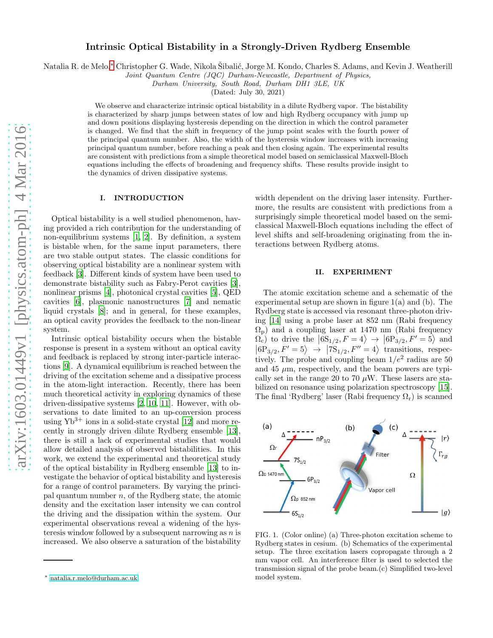# Intrinsic Optical Bistability in a Strongly-Driven Rydberg Ensemble

Natalia R. de Melo,\* Christopher G. Wade, Nikola Šibalić, Jorge M. Kondo, Charles S. Adams, and Kevin J. Weatherill

Joint Quantum Centre (JQC) Durham-Newcastle, Department of Physics,

Durham University, South Road, Durham DH1 3LE, UK

(Dated: July 30, 2021)

We observe and characterize intrinsic optical bistability in a dilute Rydberg vapor. The bistability is characterized by sharp jumps between states of low and high Rydberg occupancy with jump up and down positions displaying hysteresis depending on the direction in which the control parameter is changed. We find that the shift in frequency of the jump point scales with the fourth power of the principal quantum number. Also, the width of the hysteresis window increases with increasing principal quantum number, before reaching a peak and then closing again. The experimental results are consistent with predictions from a simple theoretical model based on semiclassical Maxwell-Bloch equations including the effects of broadening and frequency shifts. These results provide insight to the dynamics of driven dissipative systems.

## I. INTRODUCTION

Optical bistability is a well studied phenomenon, having provided a rich contribution for the understanding of non-equilibrium systems [\[1](#page-4-0), [2](#page-4-1)]. By definition, a system is bistable when, for the same input parameters, there are two stable output states. The classic conditions for observing optical bistability are a nonlinear system with feedback [\[3\]](#page-4-2). Different kinds of system have been used to demonstrate bistability such as Fabry-Perot cavities [\[3\]](#page-4-2), nonlinear prisms [\[4\]](#page-4-3), photonical crystal cavities [\[5](#page-4-4)], QED cavities [\[6\]](#page-4-5), plasmonic nanostructures [\[7\]](#page-4-6) and nematic liquid crystals [\[8\]](#page-4-7); and in general, for these examples, an optical cavity provides the feedback to the non-linear system.

Intrinsic optical bistability occurs when the bistable response is present in a system without an optical cavity and feedback is replaced by strong inter-particle interactions [\[9](#page-4-8)]. A dynamical equilibrium is reached between the driving of the excitation scheme and a dissipative process in the atom-light interaction. Recently, there has been much theoretical activity in exploring dynamics of these driven-dissipative systems [\[2,](#page-4-1) [10,](#page-4-9) [11\]](#page-4-10). However, with observations to date limited to an up-conversion process using  $Yb^{3+}$  ions in a solid-state crystal [\[12](#page-4-11)] and more recently in strongly driven dilute Rydberg ensemble [\[13\]](#page-4-12), there is still a lack of experimental studies that would allow detailed analysis of observed bistabilities. In this work, we extend the experimental and theoretical study of the optical bistability in Rydberg ensemble [\[13](#page-4-12)] to investigate the behavior of optical bistability and hysteresis for a range of control parameters. By varying the principal quantum number  $n$ , of the Rydberg state, the atomic density and the excitation laser intensity we can control the driving and the dissipation within the system. Our experimental observations reveal a widening of the hysteresis window followed by a subsequent narrowing as  $n$  is increased. We also observe a saturation of the bistability

width dependent on the driving laser intensity. Furthermore, the results are consistent with predictions from a surprisingly simple theoretical model based on the semiclassical Maxwell-Bloch equations including the effect of level shifts and self-broadening originating from the interactions between Rydberg atoms.

# II. EXPERIMENT

The atomic excitation scheme and a schematic of the experimental setup are shown in figure  $1(a)$  and (b). The Rydberg state is accessed via resonant three-photon driving [\[14](#page-4-13)] using a probe laser at 852 nm (Rabi frequency  $\Omega_{\rm p}$ ) and a coupling laser at 1470 nm (Rabi frequency  $\Omega_{c}^{C}$  to drive the  $|6S_{1/2}, F = 4\rangle \rightarrow |6P_{3/2}, F' = 5\rangle$  and  $\ket{6P_{3/2}, F'} = 5$   $\rightarrow \ket{7S_{1/2}, F'' = 4}$  transitions, respectively. The probe and coupling beam  $1/e^2$  radius are 50 and 45  $\mu$ m, respectively, and the beam powers are typically set in the range 20 to 70  $\mu$ W. These lasers are stabilized on resonance using polarization spectroscopy [\[15\]](#page-4-14). The final 'Rydberg' laser (Rabi frequency  $\Omega_r$ ) is scanned



FIG. 1. (Color online) (a) Three-photon excitation scheme to Rydberg states in cesium. (b) Schematics of the experimental setup. The three excitation lasers copropagate through a 2 mm vapor cell. An interference filter is used to selected the transmission signal of the probe beam.(c) Simplified two-level model system.

<span id="page-0-0"></span><sup>∗</sup> [natalia.r.melo@durham.ac.uk](mailto:natalia.r.melo@durham.ac.uk)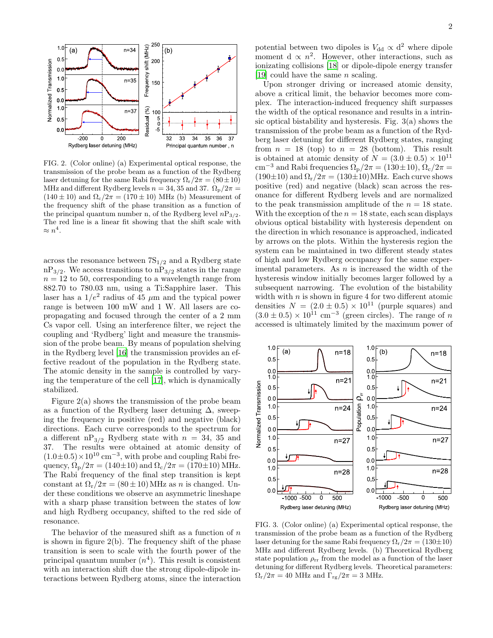

FIG. 2. (Color online) (a) Experimental optical response, the transmission of the probe beam as a function of the Rydberg laser detuning for the same Rabi frequency  $\Omega_{\rm r}/2\pi = (80 \pm 10)$ MHz and different Rydberg levels  $n = 34, 35$  and 37.  $\Omega_{\rm p}/2\pi =$  $(140 \pm 10)$  and  $\Omega_c/2\pi = (170 \pm 10)$  MHz (b) Measurement of the frequency shift of the phase transition as a function of the principal quantum number n, of the Rydberg level  $nP_{3/2}$ . The red line is a linear fit showing that the shift scale with  $\approx n^4$ .

across the resonance between  $7S_{1/2}$  and a Rydberg state  $nP_{3/2}$ . We access transitions to  $nP_{3/2}$  states in the range  $n = 12$  to 50, corresponding to a wavelength range from 882.70 to 780.03 nm, using a Ti:Sapphire laser. This laser has a  $1/e^2$  radius of 45  $\mu$ m and the typical power range is between 100 mW and 1 W. All lasers are copropagating and focused through the center of a 2 mm Cs vapor cell. Using an interference filter, we reject the coupling and 'Rydberg' light and measure the transmission of the probe beam. By means of population shelving in the Rydberg level [\[16\]](#page-4-15) the transmission provides an effective readout of the population in the Rydberg state. The atomic density in the sample is controlled by varying the temperature of the cell [\[17\]](#page-4-16), which is dynamically stabilized.

Figure 2(a) shows the transmission of the probe beam as a function of the Rydberg laser detuning  $\Delta$ , sweeping the frequency in positive (red) and negative (black) directions. Each curve corresponds to the spectrum for a different  $nP_{3/2}$  Rydberg state with  $n = 34$ , 35 and 37. The results were obtained at atomic density of  $(1.0\pm0.5)\times10^{10}$  cm<sup>-3</sup>, with probe and coupling Rabi frequency,  $\Omega_{\rm p}/2\pi = (140 \pm 10)$  and  $\Omega_{\rm c}/2\pi = (170 \pm 10)$  MHz. The Rabi frequency of the final step transition is kept constant at  $\Omega_r/2\pi = (80 \pm 10)$  MHz as n is changed. Under these conditions we observe an asymmetric lineshape with a sharp phase transition between the states of low and high Rydberg occupancy, shifted to the red side of resonance.

The behavior of the measured shift as a function of  $n$ is shown in figure  $2(b)$ . The frequency shift of the phase transition is seen to scale with the fourth power of the principal quantum number  $(n<sup>4</sup>)$ . This result is consistent with an interaction shift due the strong dipole-dipole interactions between Rydberg atoms, since the interaction

potential between two dipoles is  $V_{\rm dd} \propto d^2$  where dipole moment d  $\propto n^2$ . However, other interactions, such as ionizating collisions [\[18](#page-4-17)] or dipole-dipole energy transfer [\[19\]](#page-4-18) could have the same  $n$  scaling.

Upon stronger driving or increased atomic density, above a critical limit, the behavior becomes more complex. The interaction-induced frequency shift surpasses the width of the optical resonance and results in a intrinsic optical bistability and hysteresis. Fig. 3(a) shows the transmission of the probe beam as a function of the Rydberg laser detuning for different Rydberg states, ranging from  $n = 18$  (top) to  $n = 28$  (bottom). This result is obtained at atomic density of  $N = (3.0 \pm 0.5) \times 10^{11}$ cm<sup>-3</sup> and Rabi frequencies  $\Omega_{\rm p}/2\pi = (130 \pm 10), \Omega_{\rm c}/2\pi =$  $(190\pm10)$  and  $\Omega_{\rm r}/2\pi = (130\pm10){\rm MHz}$ . Each curve shows positive (red) and negative (black) scan across the resonance for different Rydberg levels and are normalized to the peak transmission amplitude of the  $n = 18$  state. With the exception of the  $n = 18$  state, each scan displays obvious optical bistability with hysteresis dependent on the direction in which resonance is approached, indicated by arrows on the plots. Within the hysteresis region the system can be maintained in two different steady states of high and low Rydberg occupancy for the same experimental parameters. As  $n$  is increased the width of the hysteresis window initially becomes larger followed by a subsequent narrowing. The evolution of the bistability width with  $n$  is shown in figure 4 for two different atomic densities  $N = (2.0 \pm 0.5) \times 10^{11}$  (purple squares) and  $(3.0 \pm 0.5) \times 10^{11}$  cm<sup>-3</sup> (green circles). The range of n accessed is ultimately limited by the maximum power of



FIG. 3. (Color online) (a) Experimental optical response, the transmission of the probe beam as a function of the Rydberg laser detuning for the same Rabi frequency  $\Omega_{\rm r}/2\pi = (130 \pm 10)$ MHz and different Rydberg levels. (b) Theoretical Rydberg state population  $\rho_{rr}$  from the model as a function of the laser detuning for different Rydberg levels. Theoretical parameters:  $\Omega_{\rm r}/2\pi = 40$  MHz and  $\Gamma_{\rm rg}/2\pi = 3$  MHz.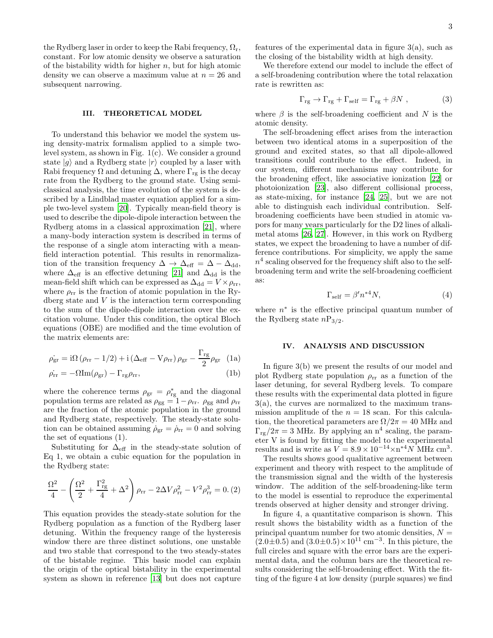the Rydberg laser in order to keep the Rabi frequency,  $\Omega_r$ , constant. For low atomic density we observe a saturation of the bistability width for higher  $n$ , but for high atomic density we can observe a maximum value at  $n = 26$  and subsequent narrowing.

### III. THEORETICAL MODEL

To understand this behavior we model the system using density-matrix formalism applied to a simple twolevel system, as shown in Fig. 1(c). We consider a ground state  $|g\rangle$  and a Rydberg state  $|r\rangle$  coupled by a laser with Rabi frequency  $\Omega$  and detuning  $\Delta$ , where  $\Gamma_{\text{rg}}$  is the decay rate from the Rydberg to the ground state. Using semiclassical analysis, the time evolution of the system is described by a Lindblad master equation applied for a simple two-level system [\[20\]](#page-4-19). Typically mean-field theory is used to describe the dipole-dipole interaction between the Rydberg atoms in a classical approximation [\[21](#page-4-20)], where a many-body interaction system is described in terms of the response of a single atom interacting with a meanfield interaction potential. This results in renormalization of the transition frequency  $\Delta \rightarrow \Delta_{\text{eff}} = \Delta - \Delta_{\text{dd}}$ , where  $\Delta_{\text{eff}}$  is an effective detuning [\[21\]](#page-4-20) and  $\Delta_{\text{dd}}$  is the mean-field shift which can be expressed as  $\Delta_{\rm dd}=V\times \rho_{\rm rr},$ where  $\rho_{rr}$  is the fraction of atomic population in the Rydberg state and  $V$  is the interaction term corresponding to the sum of the dipole-dipole interaction over the excitation volume. Under this condition, the optical Bloch equations (OBE) are modified and the time evolution of the matrix elements are:

$$
\dot{\rho_{\rm gr}} = \text{i}\Omega \left(\rho_{\rm rr} - 1/2\right) + \text{i}\left(\Delta_{\rm eff} - V\rho_{\rm rr}\right)\rho_{\rm gr} - \frac{\Gamma_{\rm rg}}{2}\rho_{\rm gr} \tag{1a}
$$

$$
\dot{\rho_{rr}} = -\Omega \text{Im}(\rho_{gr}) - \Gamma_{rg}\rho_{rr},\tag{1b}
$$

where the coherence terms  $\rho_{gr} = \rho_{rg}^*$  and the diagonal population terms are related as  $\rho_{gg} = 1 - \rho_{rr}$ .  $\rho_{gg}$  and  $\rho_{rr}$ are the fraction of the atomic population in the ground and Rydberg state, respectively. The steady-state solution can be obtained assuming  $\dot{\rho}_{gr} = \dot{\rho}_{rr} = 0$  and solving the set of equations (1).

Substituting for  $\Delta_{\text{eff}}$  in the steady-state solution of Eq 1, we obtain a cubic equation for the population in the Rydberg state:

$$
\frac{\Omega^2}{4} - \left(\frac{\Omega^2}{2} + \frac{\Gamma_{\rm rg}^2}{4} + \Delta^2\right)\rho_{\rm rr} - 2\Delta V \rho_{\rm rr}^2 - V^2 \rho_{\rm rr}^3 = 0. (2)
$$

This equation provides the steady-state solution for the Rydberg population as a function of the Rydberg laser detuning. Within the frequency range of the hysteresis window there are three distinct solutions, one unstable and two stable that correspond to the two steady-states of the bistable regime. This basic model can explain the origin of the optical bistability in the experimental system as shown in reference [\[13](#page-4-12)] but does not capture features of the experimental data in figure 3(a), such as the closing of the bistability width at high density.

We therefore extend our model to include the effect of a self-broadening contribution where the total relaxation rate is rewritten as:

$$
\Gamma_{\rm rg} \to \Gamma_{\rm rg} + \Gamma_{\rm self} = \Gamma_{\rm rg} + \beta N \;, \tag{3}
$$

where  $\beta$  is the self-broadening coefficient and N is the atomic density.

The self-broadening effect arises from the interaction between two identical atoms in a superposition of the ground and excited states, so that all dipole-allowed transitions could contribute to the effect. Indeed, in our system, different mechanisms may contribute for the broadening effect, like associative ionization [\[22](#page-4-21)] or photoionization [\[23](#page-4-22)], also different collisional process, as state-mixing, for instance [\[24,](#page-4-23) [25\]](#page-4-24), but we are not able to distinguish each individual contribution. Selfbroadening coefficients have been studied in atomic vapors for many years particularly for the D2 lines of alkalimetal atoms [\[26,](#page-4-25) [27\]](#page-4-26). However, in this work on Rydberg states, we expect the broadening to have a number of difference contributions. For simplicity, we apply the same  $n<sup>4</sup>$  scaling observed for the frequency shift also to the selfbroadening term and write the self-broadening coefficient as:

$$
\Gamma_{\text{self}} = \beta' n^{*4} N,\tag{4}
$$

where  $n^*$  is the effective principal quantum number of the Rydberg state  $nP_{3/2}$ .

#### IV. ANALYSIS AND DISCUSSION

In figure 3(b) we present the results of our model and plot Rydberg state population  $\rho_{rr}$  as a function of the laser detuning, for several Rydberg levels. To compare these results with the experimental data plotted in figure 3(a), the curves are normalized to the maximum transmission amplitude of the  $n = 18$  scan. For this calculation, the theoretical parameters are  $\Omega/2\pi = 40$  MHz and  $\Gamma_{\text{rg}}/2\pi = 3$  MHz. By applying an  $n^4$  scaling, the parameter V is found by fitting the model to the experimental results and is write as  $V = 8.9 \times 10^{-14} \times n^{*4} N$  MHz cm<sup>3</sup>.

The results shows good qualitative agreement between experiment and theory with respect to the amplitude of the transmission signal and the width of the hysteresis window. The addition of the self-broadening-like term to the model is essential to reproduce the experimental trends observed at higher density and stronger driving.

In figure 4, a quantitative comparison is shown. This result shows the bistability width as a function of the principal quantum number for two atomic densities,  $N =$  $(2.0 \pm 0.5)$  and  $(3.0 \pm 0.5) \times 10^{11}$  cm<sup>-3</sup>. In this picture, the full circles and square with the error bars are the experimental data, and the column bars are the theoretical results considering the self-broadening effect. With the fitting of the figure 4 at low density (purple squares) we find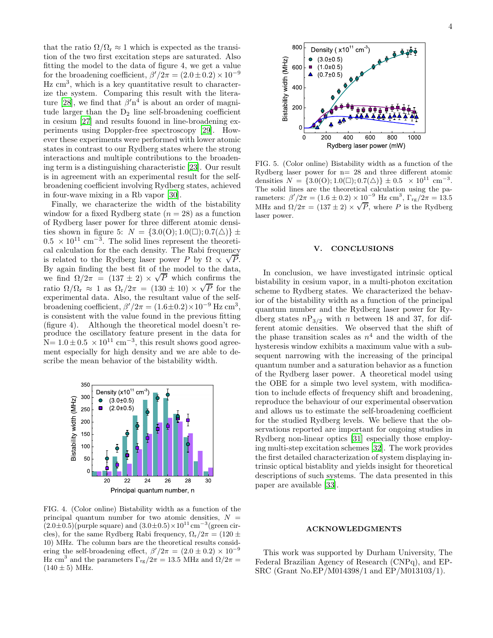that the ratio  $\Omega/\Omega_r \approx 1$  which is expected as the transition of the two first excitation steps are saturated. Also fitting the model to the data of figure 4, we get a value for the broadening coefficient,  $\beta'/2\pi = (2.0 \pm 0.2) \times 10^{-9}$  $Hz$  cm<sup>3</sup>, which is a key quantitative result to characterize the system. Comparing this result with the litera-ture [\[28](#page-4-27)], we find that  $\beta' n^4$  is about an order of magnitude larger than the  $D_2$  line self-broadening coefficient in cesium [\[27\]](#page-4-26) and results fouond in line-broadening experiments using Doppler-free spectroscopy [\[29](#page-4-28)]. However these experiments were performed with lower atomic states in contrast to our Rydberg states where the strong interactions and multiple contributions to the broadening term is a distinguishing characteristic [\[23](#page-4-22)]. Our result is in agreement with an experimental result for the selfbroadening coefficient involving Rydberg states, achieved in four-wave mixing in a Rb vapor [\[30](#page-4-29)].

Finally, we characterize the width of the bistability window for a fixed Rydberg state  $(n = 28)$  as a function of Rydberg laser power for three different atomic densities shown in figure 5:  $N = \{3.0(0); 1.0(\square); 0.7(\triangle)\}\pm$  $0.5 \times 10^{11}$  cm<sup>-3</sup>. The solid lines represent the theoretical calculation for the each density. The Rabi frequency is related to the Rydberg laser power P by  $\Omega \propto \sqrt{P}$ . By again finding the best fit of the model to the data,  $L_y$  again intering the best in or the model to the data,<br>we find  $Ω/2π = (137 ± 2) × √P$  which confirms the ratio  $\Omega/\Omega_r \approx 1$  as  $\Omega_r/2\pi = (130 \pm 10) \times \sqrt{P}$  for the experimental data. Also, the resultant value of the selfbroadening coefficient,  $\beta'/2\pi = (1.6 \pm 0.2) \times 10^{-9}$  Hz cm<sup>3</sup>, is consistent with the value found in the previous fitting (figure 4). Although the theoretical model doesn't reproduce the oscillatory feature present in the data for  $N= 1.0 \pm 0.5 \times 10^{11}$  cm<sup>-3</sup>, this result shows good agreement especially for high density and we are able to describe the mean behavior of the bistability width.



FIG. 4. (Color online) Bistability width as a function of the principal quantum number for two atomic densities,  $N =$  $(2.0\pm0.5)($ purple square) and  $(3.0\pm0.5)\times10^{11}$  cm<sup>-3</sup>(green circles), for the same Rydberg Rabi frequency,  $\Omega_r/2\pi = (120 \pm$ 10) MHz. The column bars are the theoretical results considering the self-broadening effect,  $\beta'/2\pi = (2.0 \pm 0.2) \times 10^{-9}$ Hz cm<sup>3</sup> and the parameters  $\Gamma_{\text{rg}}/2\pi = 13.5$  MHz and  $\Omega/2\pi =$  $(140 \pm 5)$  MHz.



FIG. 5. (Color online) Bistability width as a function of the Rydberg laser power for  $n=28$  and three different atomic densities  $N = \{3.0(0); 1.0(\square); 0.7(\triangle)\}\pm 0.5 \times 10^{11} \text{ cm}^{-3}.$ The solid lines are the theoretical calculation using the parameters:  $\beta'/2\pi = (1.6 \pm 0.2) \times 10^{-9}$  Hz cm<sup>3</sup>,  $\Gamma_{\text{rg}}/2\pi = 13.5$ MHz and  $\Omega/2\pi = (137 \pm 2) \times \sqrt{P}$ , where P is the Rydberg laser power.

## V. CONCLUSIONS

In conclusion, we have investigated intrinsic optical bistability in cesium vapor, in a multi-photon excitation scheme to Rydberg states. We characterized the behavior of the bistability width as a function of the principal quantum number and the Rydberg laser power for Rydberg states  $nP_{3/2}$  with n between 18 and 37, for different atomic densities. We observed that the shift of the phase transition scales as  $n<sup>4</sup>$  and the width of the hysteresis window exhibits a maximum value with a subsequent narrowing with the increasing of the principal quantum number and a saturation behavior as a function of the Rydberg laser power. A theoretical model using the OBE for a simple two level system, with modification to include effects of frequency shift and broadening, reproduce the behaviour of our experimental observation and allows us to estimate the self-broadening coefficient for the studied Rydberg levels. We believe that the observations reported are important for ongoing studies in Rydberg non-linear optics [\[31\]](#page-4-30) especially those employing multi-step excitation schemes [\[32\]](#page-4-31). The work provides the first detailed characterization of system displaying intrinsic optical bistablity and yields insight for theoretical descriptions of such systems. The data presented in this paper are available [\[33](#page-4-32)].

#### ACKNOWLEDGMENTS

This work was supported by Durham University, The Federal Brazilian Agency of Research (CNPq), and EP-SRC (Grant No.EP/M014398/1 and EP/M013103/1).